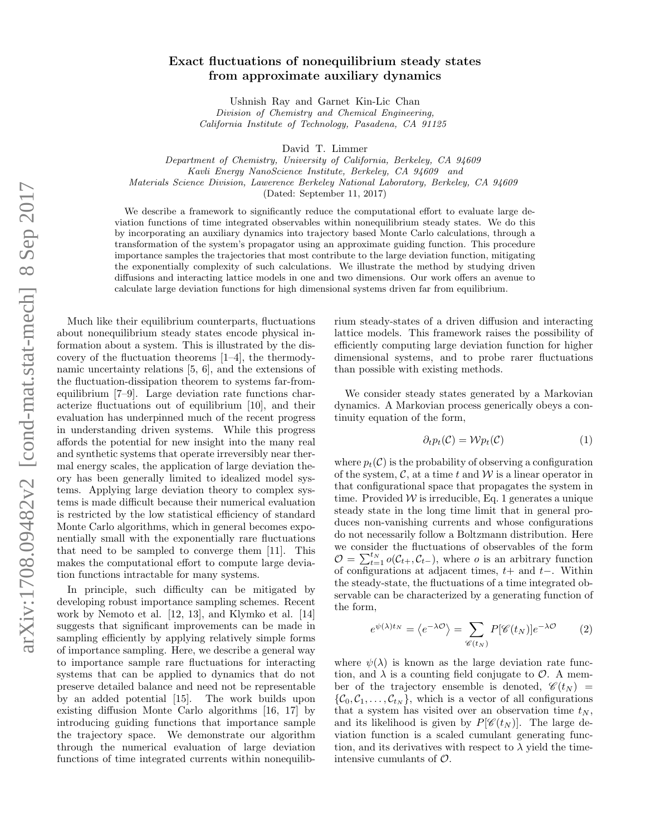## Exact fluctuations of nonequilibrium steady states from approximate auxiliary dynamics

Ushnish Ray and Garnet Kin-Lic Chan Division of Chemistry and Chemical Engineering, California Institute of Technology, Pasadena, CA 91125

David T. Limmer

Department of Chemistry, University of California, Berkeley, CA 94609 Kavli Energy NanoScience Institute, Berkeley, CA 94609 and Materials Science Division, Lawerence Berkeley National Laboratory, Berkeley, CA 94609 (Dated: September 11, 2017)

We describe a framework to significantly reduce the computational effort to evaluate large deviation functions of time integrated observables within nonequilibrium steady states. We do this by incorporating an auxiliary dynamics into trajectory based Monte Carlo calculations, through a transformation of the system's propagator using an approximate guiding function. This procedure importance samples the trajectories that most contribute to the large deviation function, mitigating the exponentially complexity of such calculations. We illustrate the method by studying driven diffusions and interacting lattice models in one and two dimensions. Our work offers an avenue to calculate large deviation functions for high dimensional systems driven far from equilibrium.

Much like their equilibrium counterparts, fluctuations about nonequilibrium steady states encode physical information about a system. This is illustrated by the discovery of the fluctuation theorems [1–4], the thermodynamic uncertainty relations [5, 6], and the extensions of the fluctuation-dissipation theorem to systems far-fromequilibrium [7–9]. Large deviation rate functions characterize fluctuations out of equilibrium [10], and their evaluation has underpinned much of the recent progress in understanding driven systems. While this progress affords the potential for new insight into the many real and synthetic systems that operate irreversibly near thermal energy scales, the application of large deviation theory has been generally limited to idealized model systems. Applying large deviation theory to complex systems is made difficult because their numerical evaluation is restricted by the low statistical efficiency of standard Monte Carlo algorithms, which in general becomes exponentially small with the exponentially rare fluctuations that need to be sampled to converge them [11]. This makes the computational effort to compute large deviation functions intractable for many systems.

In principle, such difficulty can be mitigated by developing robust importance sampling schemes. Recent work by Nemoto et al. [12, 13], and Klymko et al. [14] suggests that significant improvements can be made in sampling efficiently by applying relatively simple forms of importance sampling. Here, we describe a general way to importance sample rare fluctuations for interacting systems that can be applied to dynamics that do not preserve detailed balance and need not be representable by an added potential [15]. The work builds upon existing diffusion Monte Carlo algorithms [16, 17] by introducing guiding functions that importance sample the trajectory space. We demonstrate our algorithm through the numerical evaluation of large deviation functions of time integrated currents within nonequilib-

rium steady-states of a driven diffusion and interacting lattice models. This framework raises the possibility of efficiently computing large deviation function for higher dimensional systems, and to probe rarer fluctuations than possible with existing methods.

We consider steady states generated by a Markovian dynamics. A Markovian process generically obeys a continuity equation of the form,

$$
\partial_t p_t(\mathcal{C}) = \mathcal{W} p_t(\mathcal{C}) \tag{1}
$$

where  $p_t(\mathcal{C})$  is the probability of observing a configuration of the system,  $\mathcal{C}$ , at a time t and  $\mathcal{W}$  is a linear operator in that configurational space that propagates the system in time. Provided  $W$  is irreducible, Eq. 1 generates a unique steady state in the long time limit that in general produces non-vanishing currents and whose configurations do not necessarily follow a Boltzmann distribution. Here we consider the fluctuations of observables of the form  $\mathcal{O} = \sum_{t=1}^{t_N} o(\mathcal{C}_{t+}, \mathcal{C}_{t-}),$  where *o* is an arbitrary function of configurations at adjacent times,  $t+$  and  $t-$ . Within the steady-state, the fluctuations of a time integrated observable can be characterized by a generating function of the form,

$$
e^{\psi(\lambda)t_N} = \langle e^{-\lambda \mathcal{O}} \rangle = \sum_{\mathscr{C}(t_N)} P[\mathscr{C}(t_N)] e^{-\lambda \mathcal{O}} \tag{2}
$$

where  $\psi(\lambda)$  is known as the large deviation rate function, and  $\lambda$  is a counting field conjugate to  $\mathcal{O}$ . A member of the trajectory ensemble is denoted,  $\mathscr{C}(t_N)$  =  $\{\mathcal{C}_0, \mathcal{C}_1, \ldots, \mathcal{C}_{t_N}\},$  which is a vector of all configurations that a system has visited over an observation time  $t_N$ , and its likelihood is given by  $P[\mathscr{C}(t_N)]$ . The large deviation function is a scaled cumulant generating function, and its derivatives with respect to  $\lambda$  yield the timeintensive cumulants of  $\mathcal{O}$ .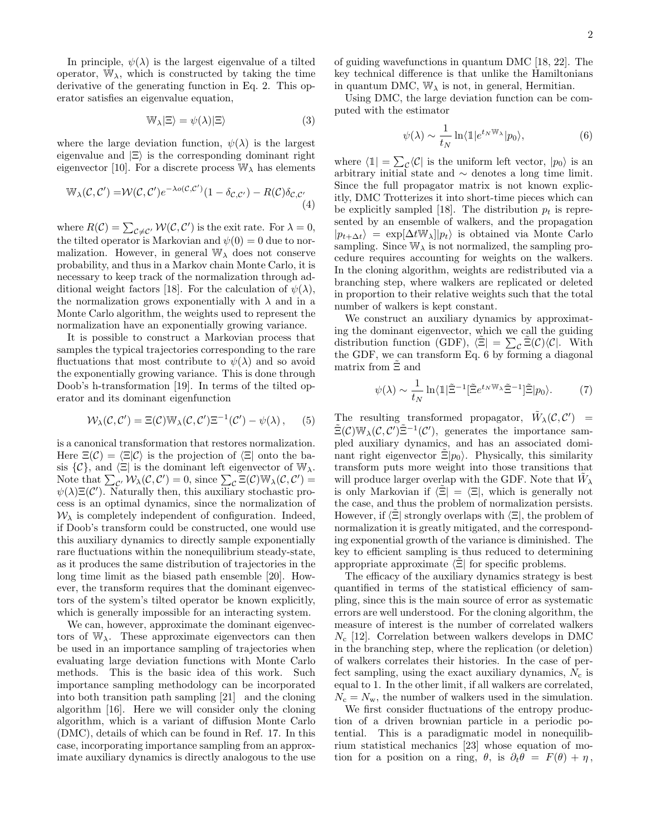In principle,  $\psi(\lambda)$  is the largest eigenvalue of a tilted operator,  $\mathbb{W}_{\lambda}$ , which is constructed by taking the time derivative of the generating function in Eq. 2. This operator satisfies an eigenvalue equation,

$$
\mathbb{W}_{\lambda}|\Xi\rangle = \psi(\lambda)|\Xi\rangle \tag{3}
$$

where the large deviation function,  $\psi(\lambda)$  is the largest eigenvalue and  $|\Xi\rangle$  is the corresponding dominant right eigenvector [10]. For a discrete process  $\mathbb{W}_{\lambda}$  has elements

$$
\mathbb{W}_{\lambda}(\mathcal{C}, \mathcal{C}') = \mathcal{W}(\mathcal{C}, \mathcal{C}') e^{-\lambda o(\mathcal{C}, \mathcal{C}')} (1 - \delta_{\mathcal{C}, \mathcal{C}'}) - R(\mathcal{C}) \delta_{\mathcal{C}, \mathcal{C}'} \tag{4}
$$

where  $R(C) = \sum_{\mathcal{C} \neq C'} \mathcal{W}(\mathcal{C}, \mathcal{C}')$  is the exit rate. For  $\lambda = 0$ , the tilted operator is Markovian and  $\psi(0) = 0$  due to normalization. However, in general  $\mathbb{W}_{\lambda}$  does not conserve probability, and thus in a Markov chain Monte Carlo, it is necessary to keep track of the normalization through additional weight factors [18]. For the calculation of  $\psi(\lambda)$ , the normalization grows exponentially with  $\lambda$  and in a Monte Carlo algorithm, the weights used to represent the normalization have an exponentially growing variance.

It is possible to construct a Markovian process that samples the typical trajectories corresponding to the rare fluctuations that most contribute to  $\psi(\lambda)$  and so avoid the exponentially growing variance. This is done through Doob's h-transformation [19]. In terms of the tilted operator and its dominant eigenfunction

$$
W_{\lambda}(\mathcal{C}, \mathcal{C}') = \Xi(\mathcal{C}) \mathbb{W}_{\lambda}(\mathcal{C}, \mathcal{C}') \Xi^{-1}(\mathcal{C}') - \psi(\lambda), \qquad (5)
$$

is a canonical transformation that restores normalization. Here  $\Xi(\mathcal{C}) = \langle \Xi | \mathcal{C} \rangle$  is the projection of  $\langle \Xi |$  onto the basis  $\{\mathcal{C}\}\$ , and  $\langle \Xi |$  is the dominant left eigenvector of  $\mathbb{W}_{\lambda}$ . Note that  $\sum_{\mathcal{C}'} W_{\lambda}(\mathcal{C}, \mathcal{C}') = 0$ , since  $\sum_{\mathcal{C}} \Xi(\mathcal{C}) \mathbb{W}_{\lambda}(\mathcal{C}, \mathcal{C}') =$  $\psi(\lambda)\Xi(\mathcal{C}')$ . Naturally then, this auxiliary stochastic process is an optimal dynamics, since the normalization of  $W_{\lambda}$  is completely independent of configuration. Indeed, if Doob's transform could be constructed, one would use this auxiliary dynamics to directly sample exponentially rare fluctuations within the nonequilibrium steady-state, as it produces the same distribution of trajectories in the long time limit as the biased path ensemble [20]. However, the transform requires that the dominant eigenvectors of the system's tilted operator be known explicitly, which is generally impossible for an interacting system.

We can, however, approximate the dominant eigenvectors of  $W_{\lambda}$ . These approximate eigenvectors can then be used in an importance sampling of trajectories when evaluating large deviation functions with Monte Carlo methods. This is the basic idea of this work. Such importance sampling methodology can be incorporated into both transition path sampling [21] and the cloning algorithm [16]. Here we will consider only the cloning algorithm, which is a variant of diffusion Monte Carlo (DMC), details of which can be found in Ref. 17. In this case, incorporating importance sampling from an approximate auxiliary dynamics is directly analogous to the use of guiding wavefunctions in quantum DMC [18, 22]. The key technical difference is that unlike the Hamiltonians in quantum DMC,  $\mathbb{W}_{\lambda}$  is not, in general, Hermitian.

Using DMC, the large deviation function can be computed with the estimator

$$
\psi(\lambda) \sim \frac{1}{t_N} \ln \langle \mathbb{1} | e^{t_N \mathbb{W}_\lambda} | p_0 \rangle, \tag{6}
$$

where  $\langle \mathbb{1}| = \sum_{\mathcal{C}} \langle \mathcal{C}|$  is the uniform left vector,  $|p_0\rangle$  is an arbitrary initial state and  $\sim$  denotes a long time limit. Since the full propagator matrix is not known explicitly, DMC Trotterizes it into short-time pieces which can be explicitly sampled [18]. The distribution  $p_t$  is represented by an ensemble of walkers, and the propagation  $|p_{t+\Delta t}\rangle = \exp[\Delta t \mathbb{W}_{\lambda}] |p_t\rangle$  is obtained via Monte Carlo sampling. Since  $\mathbb{W}_{\lambda}$  is not normalized, the sampling procedure requires accounting for weights on the walkers. In the cloning algorithm, weights are redistributed via a branching step, where walkers are replicated or deleted in proportion to their relative weights such that the total number of walkers is kept constant.

We construct an auxiliary dynamics by approximating the dominant eigenvector, which we call the guiding distribution function (GDF),  $\langle \tilde{\Xi} | = \sum_{c} \tilde{\Xi}(\mathcal{C}) \langle \mathcal{C} |$ . With the GDF, we can transform Eq. 6 by forming a diagonal matrix from  $\Xi$  and

$$
\psi(\lambda) \sim \frac{1}{t_N} \ln \langle \mathbb{1} | \tilde{\Xi}^{-1} [\tilde{\Xi} e^{t_N \mathbb{W}_\lambda} \tilde{\Xi}^{-1}] \tilde{\Xi} | p_0 \rangle. \tag{7}
$$

The resulting transformed propagator,  $\tilde{W}_{\lambda}(\mathcal{C}, \mathcal{C}')$  $\tilde{\Xi}(\mathcal{C})\mathbb{W}_{\lambda}(\mathcal{C},\mathcal{C}')\tilde{\Xi}^{-1}(\mathcal{C}'),$  generates the importance sampled auxiliary dynamics, and has an associated dominant right eigenvector  $\Xi|p_0\rangle$ . Physically, this similarity transform puts more weight into those transitions that will produce larger overlap with the GDF. Note that  $\tilde{W}_{\lambda}$ is only Markovian if  $\langle \Xi | = \langle \Xi |$ , which is generally not the case, and thus the problem of normalization persists. However, if  $\langle \tilde{\Xi} |$  strongly overlaps with  $\langle \Xi |$ , the problem of normalization it is greatly mitigated, and the corresponding exponential growth of the variance is diminished. The key to efficient sampling is thus reduced to determining appropriate approximate  $\langle \Xi |$  for specific problems.

The efficacy of the auxiliary dynamics strategy is best quantified in terms of the statistical efficiency of sampling, since this is the main source of error as systematic errors are well understood. For the cloning algorithm, the measure of interest is the number of correlated walkers  $N_c$  [12]. Correlation between walkers develops in DMC in the branching step, where the replication (or deletion) of walkers correlates their histories. In the case of perfect sampling, using the exact auxiliary dynamics,  $N_c$  is equal to 1. In the other limit, if all walkers are correlated,  $N_c = N_w$ , the number of walkers used in the simulation.

We first consider fluctuations of the entropy production of a driven brownian particle in a periodic potential. This is a paradigmatic model in nonequilibrium statistical mechanics [23] whose equation of motion for a position on a ring,  $\theta$ , is  $\partial_t \theta = F(\theta) + \eta$ ,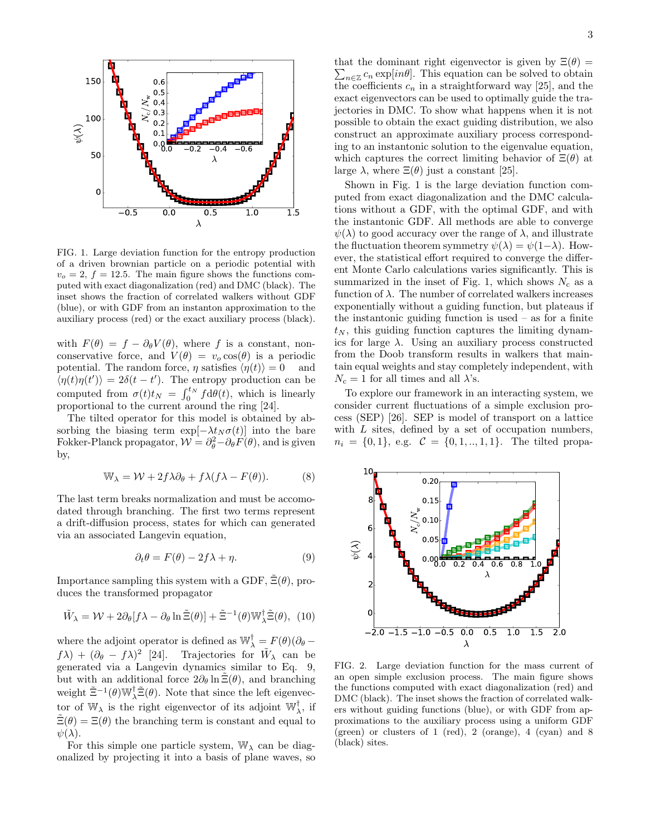

FIG. 1. Large deviation function for the entropy production of a driven brownian particle on a periodic potential with  $v<sub>o</sub> = 2, f = 12.5$ . The main figure shows the functions computed with exact diagonalization (red) and DMC (black). The inset shows the fraction of correlated walkers without GDF (blue), or with GDF from an instanton approximation to the auxiliary process (red) or the exact auxiliary process (black).

with  $F(\theta) = f - \partial_{\theta} V(\theta)$ , where f is a constant, nonconservative force, and  $V(\theta) = v_o \cos(\theta)$  is a periodic potential. The random force,  $\eta$  satisfies  $\langle \eta(t) \rangle = 0$  and  $\langle \eta(t)\eta(t')\rangle = 2\delta(t-t')$ . The entropy production can be computed from  $\sigma(t)t_N = \int_0^{t_N} f d\theta(t)$ , which is linearly proportional to the current around the ring [24].

The tilted operator for this model is obtained by absorbing the biasing term  $\exp[-\lambda t_N \sigma(t)]$  into the bare Fokker-Planck propagator,  $\mathcal{W} = \partial_{\theta}^{2} - \partial_{\theta} F(\theta)$ , and is given by,

$$
\mathbb{W}_{\lambda} = \mathcal{W} + 2f\lambda \partial_{\theta} + f\lambda (f\lambda - F(\theta)). \tag{8}
$$

The last term breaks normalization and must be accomodated through branching. The first two terms represent a drift-diffusion process, states for which can generated via an associated Langevin equation,

$$
\partial_t \theta = F(\theta) - 2f\lambda + \eta. \tag{9}
$$

Importance sampling this system with a GDF,  $\tilde{\Xi}(\theta)$ , produces the transformed propagator

$$
\tilde{W}_{\lambda} = \mathcal{W} + 2\partial_{\theta}[f\lambda - \partial_{\theta}\ln \tilde{\Xi}(\theta)] + \tilde{\Xi}^{-1}(\theta)\mathbb{W}_{\lambda}^{\dagger}\tilde{\Xi}(\theta), (10)
$$

where the adjoint operator is defined as  $\mathbb{W}_{\lambda}^{\mathsf{T}} = F(\theta)(\partial_{\theta}$  $f\lambda$ ) +  $(\partial_{\theta} - f\lambda)^2$  [24]. Trajectories for  $\tilde{W}_{\lambda}$  can be generated via a Langevin dynamics similar to Eq. 9, but with an additional force  $2\partial_{\theta} \ln \Xi(\theta)$ , and branching weight  $\tilde{\Xi}^{-1}(\theta) \mathbb{W}^{\dagger}_{\lambda} \tilde{\Xi}(\theta)$ . Note that since the left eigenvector of  $\mathbb{W}_{\lambda}$  is the right eigenvector of its adjoint  $\mathbb{W}_{\lambda}^{\dagger}$ , if  $\tilde{\Xi}(\theta) = \Xi(\theta)$  the branching term is constant and equal to  $\psi(\lambda)$ .

For this simple one particle system,  $W_{\lambda}$  can be diagonalized by projecting it into a basis of plane waves, so

that the dominant right eigenvector is given by  $\Xi(\theta) =$  $\sum_{n\in\mathbb{Z}}c_n \exp(in\theta]$ . This equation can be solved to obtain the coefficients  $c_n$  in a straightforward way [25], and the exact eigenvectors can be used to optimally guide the trajectories in DMC. To show what happens when it is not possible to obtain the exact guiding distribution, we also construct an approximate auxiliary process corresponding to an instantonic solution to the eigenvalue equation, which captures the correct limiting behavior of  $\Xi(\theta)$  at large  $\lambda$ , where  $\Xi(\theta)$  just a constant [25].

Shown in Fig. 1 is the large deviation function computed from exact diagonalization and the DMC calculations without a GDF, with the optimal GDF, and with the instantonic GDF. All methods are able to converge  $\psi(\lambda)$  to good accuracy over the range of  $\lambda$ , and illustrate the fluctuation theorem symmetry  $\psi(\lambda) = \psi(1-\lambda)$ . However, the statistical effort required to converge the different Monte Carlo calculations varies significantly. This is summarized in the inset of Fig. 1, which shows  $N_c$  as a function of  $\lambda$ . The number of correlated walkers increases exponentially without a guiding function, but plateaus if the instantonic guiding function is used  $-$  as for a finite  $t_N$ , this guiding function captures the limiting dynamics for large  $\lambda$ . Using an auxiliary process constructed from the Doob transform results in walkers that maintain equal weights and stay completely independent, with  $N_c = 1$  for all times and all  $\lambda$ 's.

To explore our framework in an interacting system, we consider current fluctuations of a simple exclusion process (SEP) [26]. SEP is model of transport on a lattice with  $L$  sites, defined by a set of occupation numbers,  $n_i = \{0, 1\},$  e.g.  $C = \{0, 1, ..., 1, 1\}$ . The tilted propa-



FIG. 2. Large deviation function for the mass current of an open simple exclusion process. The main figure shows the functions computed with exact diagonalization (red) and DMC (black). The inset shows the fraction of correlated walkers without guiding functions (blue), or with GDF from approximations to the auxiliary process using a uniform GDF (green) or clusters of 1 (red), 2 (orange), 4 (cyan) and 8 (black) sites.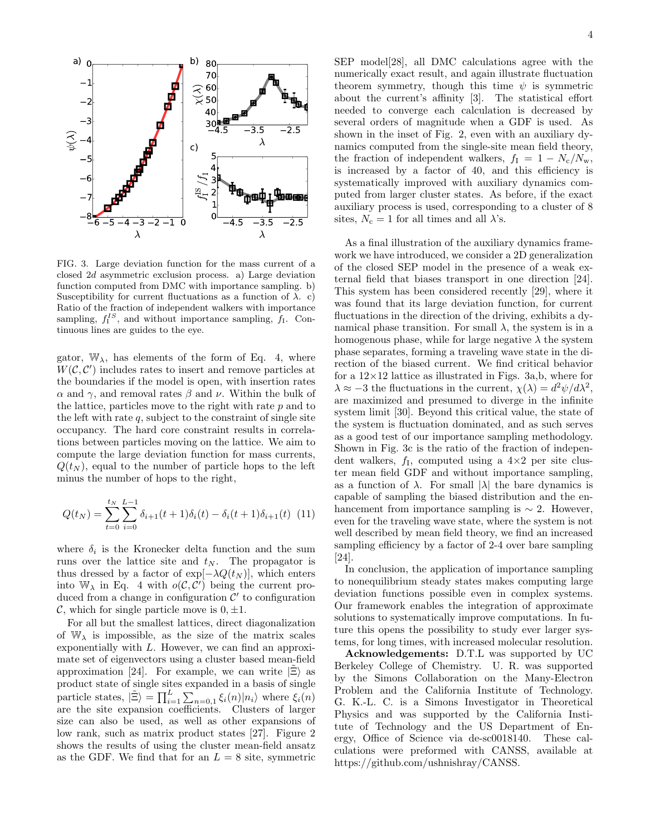

FIG. 3. Large deviation function for the mass current of a closed 2d asymmetric exclusion process. a) Large deviation function computed from DMC with importance sampling. b) Susceptibility for current fluctuations as a function of  $\lambda$ . c) Ratio of the fraction of independent walkers with importance sampling,  $f_I^{IS}$ , and without importance sampling,  $f_I$ . Continuous lines are guides to the eye.

gator,  $\mathbb{W}_{\lambda}$ , has elements of the form of Eq. 4, where  $W(C, C')$  includes rates to insert and remove particles at the boundaries if the model is open, with insertion rates α and γ, and removal rates β and ν. Within the bulk of the lattice, particles move to the right with rate  $p$  and to the left with rate  $q$ , subject to the constraint of single site occupancy. The hard core constraint results in correlations between particles moving on the lattice. We aim to compute the large deviation function for mass currents,  $Q(t_N)$ , equal to the number of particle hops to the left minus the number of hops to the right,

$$
Q(t_N) = \sum_{t=0}^{t_N} \sum_{i=0}^{L-1} \delta_{i+1}(t+1)\delta_i(t) - \delta_i(t+1)\delta_{i+1}(t)
$$
 (11)

where  $\delta_i$  is the Kronecker delta function and the sum runs over the lattice site and  $t_N$ . The propagator is thus dressed by a factor of  $\exp[-\lambda Q(t_N)]$ , which enters into  $\mathbb{W}_{\lambda}$  in Eq. 4 with  $o(\mathcal{C}, \mathcal{C}')$  being the current produced from a change in configuration  $\mathcal{C}'$  to configuration C, which for single particle move is  $0, \pm 1$ .

For all but the smallest lattices, direct diagonalization of  $W_{\lambda}$  is impossible, as the size of the matrix scales exponentially with L. However, we can find an approximate set of eigenvectors using a cluster based mean-field approximation [24]. For example, we can write  $|\tilde{\Xi}\rangle$  as product state of single sites expanded in a basis of single particle states,  $|\tilde{\Xi}\rangle = \prod_{i=1}^{L} \sum_{n=0,1} \xi_i(n)|n_i\rangle$  where  $\xi_i(n)$ are the site expansion coefficients. Clusters of larger size can also be used, as well as other expansions of low rank, such as matrix product states [27]. Figure 2 shows the results of using the cluster mean-field ansatz as the GDF. We find that for an  $L = 8$  site, symmetric

SEP model[28], all DMC calculations agree with the numerically exact result, and again illustrate fluctuation theorem symmetry, though this time  $\psi$  is symmetric about the current's affinity [3]. The statistical effort needed to converge each calculation is decreased by several orders of magnitude when a GDF is used. As shown in the inset of Fig. 2, even with an auxiliary dynamics computed from the single-site mean field theory, the fraction of independent walkers,  $f_{\rm I} = 1 - N_{\rm c}/N_{\rm w}$ , is increased by a factor of 40, and this efficiency is systematically improved with auxiliary dynamics computed from larger cluster states. As before, if the exact auxiliary process is used, corresponding to a cluster of 8 sites,  $N_c = 1$  for all times and all  $\lambda$ 's.

As a final illustration of the auxiliary dynamics framework we have introduced, we consider a 2D generalization of the closed SEP model in the presence of a weak external field that biases transport in one direction [24]. This system has been considered recently [29], where it was found that its large deviation function, for current fluctuations in the direction of the driving, exhibits a dynamical phase transition. For small  $\lambda$ , the system is in a homogenous phase, while for large negative  $\lambda$  the system phase separates, forming a traveling wave state in the direction of the biased current. We find critical behavior for a  $12\times12$  lattice as illustrated in Figs. 3a,b, where for  $\lambda \approx -3$  the fluctuations in the current,  $\chi(\lambda) = d^2 \psi / d\lambda^2$ , are maximized and presumed to diverge in the infinite system limit [30]. Beyond this critical value, the state of the system is fluctuation dominated, and as such serves as a good test of our importance sampling methodology. Shown in Fig. 3c is the ratio of the fraction of independent walkers,  $f_1$ , computed using a  $4 \times 2$  per site cluster mean field GDF and without importance sampling, as a function of  $\lambda$ . For small  $|\lambda|$  the bare dynamics is capable of sampling the biased distribution and the enhancement from importance sampling is  $\sim$  2. However, even for the traveling wave state, where the system is not well described by mean field theory, we find an increased sampling efficiency by a factor of 2-4 over bare sampling [24].

In conclusion, the application of importance sampling to nonequilibrium steady states makes computing large deviation functions possible even in complex systems. Our framework enables the integration of approximate solutions to systematically improve computations. In future this opens the possibility to study ever larger systems, for long times, with increased molecular resolution.

Acknowledgements: D.T.L was supported by UC Berkeley College of Chemistry. U. R. was supported by the Simons Collaboration on the Many-Electron Problem and the California Institute of Technology. G. K.-L. C. is a Simons Investigator in Theoretical Physics and was supported by the California Institute of Technology and the US Department of Energy, Office of Science via de-sc0018140. These calculations were preformed with CANSS, available at https://github.com/ushnishray/CANSS.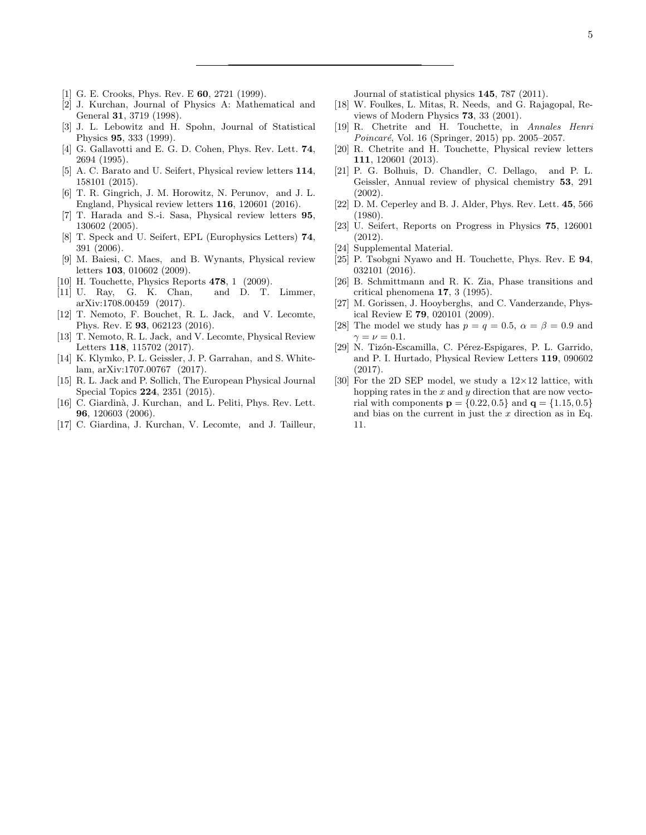- [1] G. E. Crooks, Phys. Rev. E **60**, 2721 (1999).
- [2] J. Kurchan, Journal of Physics A: Mathematical and General 31, 3719 (1998).
- [3] J. L. Lebowitz and H. Spohn, Journal of Statistical Physics 95, 333 (1999).
- [4] G. Gallavotti and E. G. D. Cohen, Phys. Rev. Lett. **74**, 2694 (1995).
- [5] A. C. Barato and U. Seifert, Physical review letters  $114$ , 158101 (2015).
- [6] T. R. Gingrich, J. M. Horowitz, N. Perunov, and J. L. England, Physical review letters 116, 120601 (2016).
- [7] T. Harada and S.-i. Sasa, Physical review letters 95, 130602 (2005).
- [8] T. Speck and U. Seifert, EPL (Europhysics Letters) 74, 391 (2006).
- [9] M. Baiesi, C. Maes, and B. Wynants, Physical review letters 103, 010602 (2009).
- [10] H. Touchette, Physics Reports 478, 1 (2009).
- [11] U. Ray, G. K. Chan, and D. T. Limmer, arXiv:1708.00459 (2017).
- [12] T. Nemoto, F. Bouchet, R. L. Jack, and V. Lecomte, Phys. Rev. E 93, 062123 (2016).
- [13] T. Nemoto, R. L. Jack, and V. Lecomte, Physical Review Letters 118, 115702 (2017).
- [14] K. Klymko, P. L. Geissler, J. P. Garrahan, and S. Whitelam, arXiv:1707.00767 (2017).
- [15] R. L. Jack and P. Sollich, The European Physical Journal Special Topics 224, 2351 (2015).
- [16] C. Giardinà, J. Kurchan, and L. Peliti, Phys. Rev. Lett. 96, 120603 (2006).
- [17] C. Giardina, J. Kurchan, V. Lecomte, and J. Tailleur,

Journal of statistical physics 145, 787 (2011).

- [18] W. Foulkes, L. Mitas, R. Needs, and G. Rajagopal, Reviews of Modern Physics 73, 33 (2001).
- [19] R. Chetrite and H. Touchette, in Annales Henri  $Poincaré$ , Vol. 16 (Springer, 2015) pp. 2005–2057.
- [20] R. Chetrite and H. Touchette, Physical review letters 111, 120601 (2013).
- [21] P. G. Bolhuis, D. Chandler, C. Dellago, and P. L. Geissler, Annual review of physical chemistry 53, 291 (2002).
- [22] D. M. Ceperley and B. J. Alder, Phys. Rev. Lett. 45, 566 (1980).
- [23] U. Seifert, Reports on Progress in Physics 75, 126001 (2012).
- [24] Supplemental Material.
- [25] P. Tsobgni Nyawo and H. Touchette, Phys. Rev. E 94, 032101 (2016).
- [26] B. Schmittmann and R. K. Zia, Phase transitions and critical phenomena 17, 3 (1995).
- [27] M. Gorissen, J. Hooyberghs, and C. Vanderzande, Physical Review E 79, 020101 (2009).
- [28] The model we study has  $p = q = 0.5$ ,  $\alpha = \beta = 0.9$  and  $\gamma = \nu = 0.1$ .
- [29] N. Tizón-Escamilla, C. Pérez-Espigares, P. L. Garrido, and P. I. Hurtado, Physical Review Letters 119, 090602 (2017).
- [30] For the 2D SEP model, we study a  $12\times12$  lattice, with hopping rates in the  $x$  and  $y$  direction that are now vectorial with components  $p = \{0.22, 0.5\}$  and  $q = \{1.15, 0.5\}$ and bias on the current in just the  $x$  direction as in Eq. 11.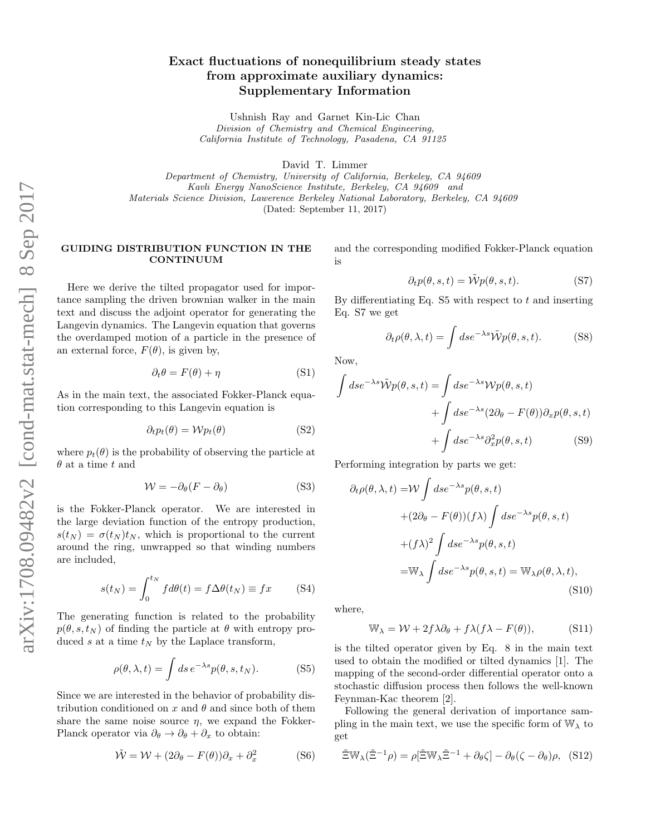# Exact fluctuations of nonequilibrium steady states from approximate auxiliary dynamics: Supplementary Information

Ushnish Ray and Garnet Kin-Lic Chan Division of Chemistry and Chemical Engineering, California Institute of Technology, Pasadena, CA 91125

David T. Limmer

Department of Chemistry, University of California, Berkeley, CA 94609 Kavli Energy NanoScience Institute, Berkeley, CA 94609 and Materials Science Division, Lawerence Berkeley National Laboratory, Berkeley, CA 94609 (Dated: September 11, 2017)

### GUIDING DISTRIBUTION FUNCTION IN THE CONTINUUM

Here we derive the tilted propagator used for importance sampling the driven brownian walker in the main text and discuss the adjoint operator for generating the Langevin dynamics. The Langevin equation that governs the overdamped motion of a particle in the presence of an external force,  $F(\theta)$ , is given by,

$$
\partial_t \theta = F(\theta) + \eta \tag{S1}
$$

As in the main text, the associated Fokker-Planck equation corresponding to this Langevin equation is

$$
\partial_t p_t(\theta) = \mathcal{W} p_t(\theta) \tag{S2}
$$

where  $p_t(\theta)$  is the probability of observing the particle at  $\theta$  at a time t and

$$
W = -\partial_{\theta}(F - \partial_{\theta})
$$
 (S3)

is the Fokker-Planck operator. We are interested in the large deviation function of the entropy production,  $s(t_N) = \sigma(t_N)t_N$ , which is proportional to the current around the ring, unwrapped so that winding numbers are included,

$$
s(t_N) = \int_0^{t_N} f d\theta(t) = f \Delta\theta(t_N) \equiv fx \quad (S4)
$$

The generating function is related to the probability  $p(\theta, s, t_N)$  of finding the particle at  $\theta$  with entropy produced s at a time  $t_N$  by the Laplace transform,

$$
\rho(\theta, \lambda, t) = \int ds \, e^{-\lambda s} p(\theta, s, t_N). \tag{S5}
$$

Since we are interested in the behavior of probability distribution conditioned on x and  $\theta$  and since both of them share the same noise source  $\eta$ , we expand the Fokker-Planck operator via  $\partial_{\theta} \rightarrow \partial_{\theta} + \partial_{x}$  to obtain:

$$
\tilde{\mathcal{W}} = \mathcal{W} + (2\partial_{\theta} - F(\theta))\partial_{x} + \partial_{x}^{2}
$$
 (S6)

and the corresponding modified Fokker-Planck equation is

$$
\partial_t p(\theta, s, t) = \tilde{\mathcal{W}} p(\theta, s, t). \tag{S7}
$$

By differentiating Eq.  $S5$  with respect to t and inserting Eq. S7 we get

$$
\partial_t \rho(\theta, \lambda, t) = \int ds e^{-\lambda s} \tilde{\mathcal{W}} p(\theta, s, t). \tag{S8}
$$

Now,

$$
\int ds e^{-\lambda s} \tilde{\mathcal{W}} p(\theta, s, t) = \int ds e^{-\lambda s} \mathcal{W} p(\theta, s, t)
$$

$$
+ \int ds e^{-\lambda s} (2\partial_{\theta} - F(\theta)) \partial_x p(\theta, s, t)
$$

$$
+ \int ds e^{-\lambda s} \partial_x^2 p(\theta, s, t) \tag{S9}
$$

Performing integration by parts we get:

$$
\partial_t \rho(\theta, \lambda, t) = \mathcal{W} \int ds e^{-\lambda s} p(\theta, s, t)
$$

$$
+ (2\partial_{\theta} - F(\theta))(f\lambda) \int ds e^{-\lambda s} p(\theta, s, t)
$$

$$
+ (f\lambda)^2 \int ds e^{-\lambda s} p(\theta, s, t)
$$

$$
= \mathbb{W}_{\lambda} \int ds e^{-\lambda s} p(\theta, s, t) = \mathbb{W}_{\lambda} \rho(\theta, \lambda, t), \tag{S10}
$$

where,

$$
\mathbb{W}_{\lambda} = \mathcal{W} + 2f\lambda \partial_{\theta} + f\lambda (f\lambda - F(\theta)), \tag{S11}
$$

is the tilted operator given by Eq. 8 in the main text used to obtain the modified or tilted dynamics [1]. The mapping of the second-order differential operator onto a stochastic diffusion process then follows the well-known Feynman-Kac theorem [2].

Following the general derivation of importance sampling in the main text, we use the specific form of  $\mathbb{W}_{\lambda}$  to get

$$
\tilde{\Xi}\mathbb{W}_{\lambda}(\tilde{\Xi}^{-1}\rho) = \rho[\tilde{\Xi}\mathbb{W}_{\lambda}\tilde{\Xi}^{-1} + \partial_{\theta}\zeta] - \partial_{\theta}(\zeta - \partial_{\theta})\rho, \quad (S12)
$$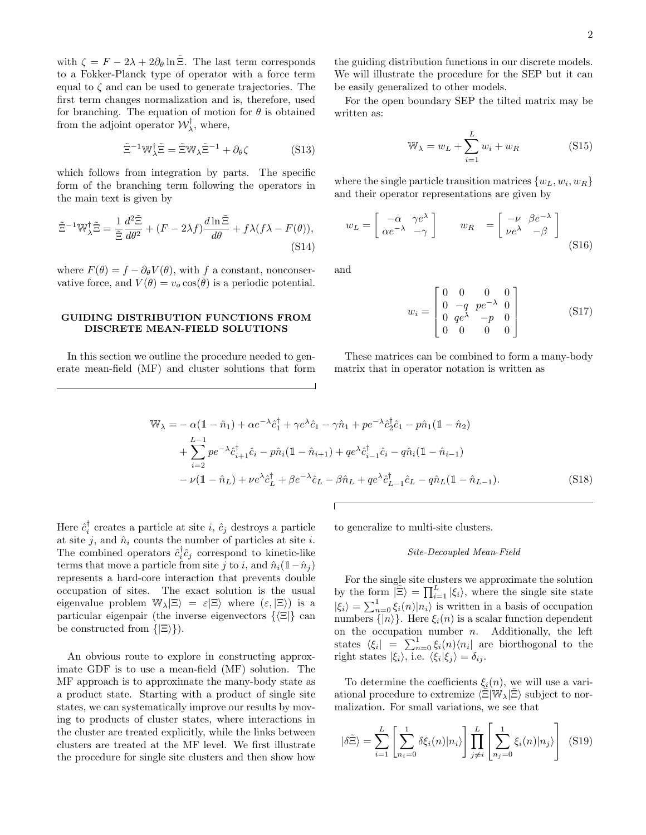with  $\zeta = F - 2\lambda + 2\partial_{\theta} \ln \tilde{\Xi}$ . The last term corresponds to a Fokker-Planck type of operator with a force term equal to  $\zeta$  and can be used to generate trajectories. The first term changes normalization and is, therefore, used for branching. The equation of motion for  $\theta$  is obtained from the adjoint operator  $\mathcal{W}_{\lambda}^{\dagger}$ , where,

$$
\tilde{\Xi}^{-1} \mathbb{W}_{\lambda}^{\dagger} \tilde{\Xi} = \tilde{\Xi} \mathbb{W}_{\lambda} \tilde{\Xi}^{-1} + \partial_{\theta} \zeta \tag{S13}
$$

which follows from integration by parts. The specific form of the branching term following the operators in the main text is given by

$$
\tilde{\Xi}^{-1} \mathbb{W}_{\lambda}^{\dagger} \tilde{\Xi} = \frac{1}{\tilde{\Xi}} \frac{d^2 \tilde{\Xi}}{d\theta^2} + (F - 2\lambda f) \frac{d \ln \tilde{\Xi}}{d\theta} + f\lambda (f\lambda - F(\theta)),\tag{S14}
$$

where  $F(\theta) = f - \partial_{\theta} V(\theta)$ , with f a constant, nonconservative force, and  $V(\theta) = v_o \cos(\theta)$  is a periodic potential.

### GUIDING DISTRIBUTION FUNCTIONS FROM DISCRETE MEAN-FIELD SOLUTIONS

In this section we outline the procedure needed to generate mean-field (MF) and cluster solutions that form the guiding distribution functions in our discrete models. We will illustrate the procedure for the SEP but it can be easily generalized to other models.

For the open boundary SEP the tilted matrix may be written as:

$$
\mathbb{W}_{\lambda} = w_L + \sum_{i=1}^{L} w_i + w_R \tag{S15}
$$

where the single particle transition matrices  $\{w_L, w_i, w_R\}$ and their operator representations are given by

$$
w_L = \begin{bmatrix} -\alpha & \gamma e^{\lambda} \\ \alpha e^{-\lambda} & -\gamma \end{bmatrix} \qquad w_R = \begin{bmatrix} -\nu & \beta e^{-\lambda} \\ \nu e^{\lambda} & -\beta \end{bmatrix}
$$
(S16)

and

$$
w_i = \begin{bmatrix} 0 & 0 & 0 & 0 \\ 0 & -q & pe^{-\lambda} & 0 \\ 0 & qe^{\lambda} & -p & 0 \\ 0 & 0 & 0 & 0 \end{bmatrix}
$$
 (S17)

These matrices can be combined to form a many-body matrix that in operator notation is written as

$$
\mathbb{W}_{\lambda} = -\alpha(\mathbb{1} - \hat{n}_1) + \alpha e^{-\lambda} \hat{c}_1^{\dagger} + \gamma e^{\lambda} \hat{c}_1 - \gamma \hat{n}_1 + p e^{-\lambda} \hat{c}_2^{\dagger} \hat{c}_1 - p \hat{n}_1 (\mathbb{1} - \hat{n}_2) \n+ \sum_{i=2}^{L-1} p e^{-\lambda} \hat{c}_{i+1}^{\dagger} \hat{c}_i - p \hat{n}_i (\mathbb{1} - \hat{n}_{i+1}) + q e^{\lambda} \hat{c}_{i-1}^{\dagger} \hat{c}_i - q \hat{n}_i (\mathbb{1} - \hat{n}_{i-1}) \n- \nu (\mathbb{1} - \hat{n}_L) + \nu e^{\lambda} \hat{c}_L^{\dagger} + \beta e^{-\lambda} \hat{c}_L - \beta \hat{n}_L + q e^{\lambda} \hat{c}_{L-1}^{\dagger} \hat{c}_L - q \hat{n}_L (\mathbb{1} - \hat{n}_{L-1}).
$$
\n(S18)

Here  $\hat{c}_i^{\dagger}$  creates a particle at site *i*,  $\hat{c}_j$  destroys a particle at site j, and  $\hat{n}_i$  counts the number of particles at site i. The combined operators  $\hat{c}_i^{\dagger} \hat{c}_j$  correspond to kinetic-like terms that move a particle from site j to i, and  $\hat{n}_i(1-\hat{n}_i)$ represents a hard-core interaction that prevents double occupation of sites. The exact solution is the usual eigenvalue problem  $\mathbb{W}_{\lambda}|\Xi\rangle = \varepsilon|\Xi\rangle$  where  $(\varepsilon, |\Xi\rangle)$  is a particular eigenpair (the inverse eigenvectors  $\{\langle \Xi | \}$ ) can be constructed from  $\{| \Xi \rangle \}$ .

An obvious route to explore in constructing approximate GDF is to use a mean-field (MF) solution. The MF approach is to approximate the many-body state as a product state. Starting with a product of single site states, we can systematically improve our results by moving to products of cluster states, where interactions in the cluster are treated explicitly, while the links between clusters are treated at the MF level. We first illustrate the procedure for single site clusters and then show how to generalize to multi-site clusters.

#### Site-Decoupled Mean-Field

For the single site clusters we approximate the solution by the form  $|\tilde{\Xi}\rangle = \prod_{i=1}^{L} |\xi_i\rangle$ , where the single site state  $|\xi_i\rangle = \sum_{n=0}^1 \xi_i(n)|n_i\rangle$  is written in a basis of occupation numbers  $\{|n\rangle\}$ . Here  $\xi_i(n)$  is a scalar function dependent on the occupation number  $n$ . Additionally, the left states  $\langle \xi_i | = \sum_{n=0}^1 \xi_i(n) \langle n_i |$  are biorthogonal to the right states  $|\xi_i\rangle$ , i.e.  $\langle \xi_i | \xi_j \rangle = \delta_{ij}$ .

To determine the coefficients  $\xi_i(n)$ , we will use a variational procedure to extremize  $\langle \tilde{\Xi} | \mathbb{W}_{\lambda} | \tilde{\Xi} \rangle$  subject to normalization. For small variations, we see that

$$
|\delta \tilde{\Xi}\rangle = \sum_{i=1}^{L} \left[ \sum_{n_i=0}^{1} \delta \xi_i(n) |n_i\rangle \right] \prod_{j \neq i}^{L} \left[ \sum_{n_j=0}^{1} \xi_i(n) |n_j\rangle \right] \tag{S19}
$$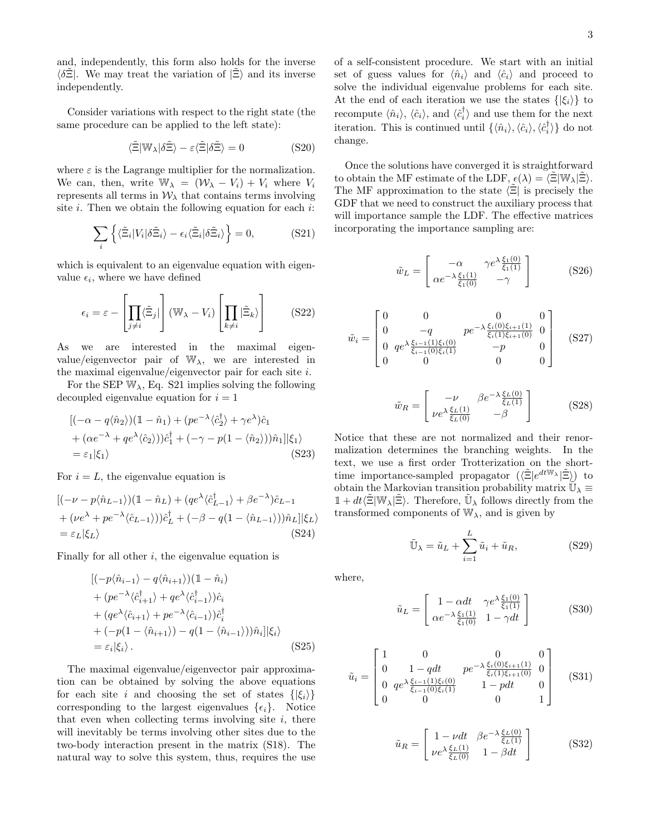and, independently, this form also holds for the inverse  $\langle \delta \Xi |$ . We may treat the variation of  $|\Xi\rangle$  and its inverse independently.

Consider variations with respect to the right state (the same procedure can be applied to the left state):

$$
\langle \tilde{\Xi} | \mathbb{W}_{\lambda} | \delta \tilde{\Xi} \rangle - \varepsilon \langle \tilde{\Xi} | \delta \tilde{\Xi} \rangle = 0 \tag{S20}
$$

where  $\varepsilon$  is the Lagrange multiplier for the normalization. We can, then, write  $\mathbb{W}_{\lambda} = (\mathcal{W}_{\lambda} - V_i) + V_i$  where  $V_i$ represents all terms in  $\mathcal{W}_{\lambda}$  that contains terms involving site  $i$ . Then we obtain the following equation for each  $i$ :

$$
\sum_{i} \left\{ \langle \tilde{\Xi}_i | V_i | \delta \tilde{\Xi}_i \rangle - \epsilon_i \langle \tilde{\Xi}_i | \delta \tilde{\Xi}_i \rangle \right\} = 0, \tag{S21}
$$

which is equivalent to an eigenvalue equation with eigenvalue  $\epsilon_i$ , where we have defined

$$
\epsilon_i = \varepsilon - \left[ \prod_{j \neq i} \langle \tilde{\Xi}_j | \right] (\mathbb{W}_{\lambda} - V_i) \left[ \prod_{k \neq i} |\tilde{\Xi}_k \rangle \right] \tag{S22}
$$

As we are interested in the maximal eigenvalue/eigenvector pair of  $\mathbb{W}_{\lambda}$ , we are interested in the maximal eigenvalue/eigenvector pair for each site i.

For the SEP  $W_{\lambda}$ , Eq. S21 implies solving the following decoupled eigenvalue equation for  $i = 1$ 

$$
[(-\alpha - q\langle \hat{n}_2 \rangle)(1 - \hat{n}_1) + (pe^{-\lambda}\langle \hat{c}_2^{\dagger} \rangle + \gamma e^{\lambda})\hat{c}_1 + (\alpha e^{-\lambda} + q e^{\lambda}\langle \hat{c}_2 \rangle))\hat{c}_1^{\dagger} + (-\gamma - p(1 - \langle \hat{n}_2 \rangle))\hat{n}_1]|\xi_1\rangle = \varepsilon_1|\xi_1\rangle
$$
 (S23)

For  $i = L$ , the eigenvalue equation is

$$
[(-\nu - p\langle \hat{n}_{L-1} \rangle)(1 - \hat{n}_L) + (qe^{\lambda} \langle \hat{c}_{L-1}^{\dagger} \rangle + \beta e^{-\lambda})\hat{c}_{L-1} + (\nu e^{\lambda} + pe^{-\lambda} \langle \hat{c}_{L-1} \rangle))\hat{c}_L^{\dagger} + (-\beta - q(1 - \langle \hat{n}_{L-1} \rangle))\hat{n}_L]|\xi_L\rangle = \varepsilon_L|\xi_L\rangle
$$
 (S24)

Finally for all other  $i$ , the eigenvalue equation is

$$
\begin{aligned}\n[(-p\langle \hat{n}_{i-1} \rangle - q\langle \hat{n}_{i+1} \rangle)(1 - \hat{n}_{i}) \\
+ (pe^{-\lambda} \langle \hat{c}_{i+1}^{\dagger} \rangle + qe^{\lambda} \langle \hat{c}_{i-1}^{\dagger} \rangle) \hat{c}_{i} \\
+ (qe^{\lambda} \langle \hat{c}_{i+1} \rangle + pe^{-\lambda} \langle \hat{c}_{i-1} \rangle) \hat{c}_{i}^{\dagger} \\
+ (-p(1 - \langle \hat{n}_{i+1} \rangle) - q(1 - \langle \hat{n}_{i-1} \rangle)) \hat{n}_{i}]|\xi_{i}\rangle \\
&= \varepsilon_{i}|\xi_{i}\rangle. \n\end{aligned} \tag{S25}
$$

The maximal eigenvalue/eigenvector pair approximation can be obtained by solving the above equations for each site i and choosing the set of states  $\{|\xi_i\rangle\}$ corresponding to the largest eigenvalues  $\{\epsilon_i\}$ . Notice that even when collecting terms involving site  $i$ , there will inevitably be terms involving other sites due to the two-body interaction present in the matrix (S18). The natural way to solve this system, thus, requires the use of a self-consistent procedure. We start with an initial set of guess values for  $\langle \hat{n}_i \rangle$  and  $\langle \hat{c}_i \rangle$  and proceed to solve the individual eigenvalue problems for each site. At the end of each iteration we use the states  $\{|\xi_i\rangle\}$  to recompute  $\langle \hat{n}_i \rangle$ ,  $\langle \hat{c}_i \rangle$ , and  $\langle \hat{c}_i^{\dagger} \rangle$  and use them for the next iteration. This is continued until  $\{\langle \hat{n}_i \rangle, \langle \hat{c}_i \rangle, \langle \hat{c}_i^{\dagger} \rangle\}$  do not change.

Once the solutions have converged it is straightforward to obtain the MF estimate of the LDF,  $\epsilon(\lambda) = \langle \Xi | \mathbb{W}_{\lambda} | \Xi \rangle$ . The MF approximation to the state  $\langle \tilde{\Xi} |$  is precisely the GDF that we need to construct the auxiliary process that will importance sample the LDF. The effective matrices incorporating the importance sampling are:

$$
\tilde{w}_L = \begin{bmatrix} -\alpha & \gamma e^{\lambda} \frac{\xi_1(0)}{\xi_1(1)} \\ \alpha e^{-\lambda} \frac{\xi_1(1)}{\xi_1(0)} & -\gamma \end{bmatrix}
$$
 (S26)

$$
\tilde{w}_i = \begin{bmatrix} 0 & 0 & 0 & 0 & 0\\ 0 & -q & pe^{-\lambda} \frac{\xi_i(0)\xi_{i+1}(1)}{\xi_i(1)\xi_{i+1}(0)} & 0\\ 0 & qe^{\lambda} \frac{\xi_{i-1}(1)\xi_i(0)}{\xi_{i-1}(0)\xi_i(1)} & -p & 0\\ 0 & 0 & 0 & 0 \end{bmatrix}
$$
(S27)

$$
\tilde{w}_R = \begin{bmatrix} -\nu & \beta e^{-\lambda} \frac{\xi_L(0)}{\xi_L(1)}\\ \nu e^{\lambda} \frac{\xi_L(1)}{\xi_L(0)} & -\beta \end{bmatrix}
$$
 (S28)

Notice that these are not normalized and their renormalization determines the branching weights. In the text, we use a first order Trotterization on the shorttime importance-sampled propagator  $(\langle \tilde{\Xi} | e^{dt \mathbb{W}_{\lambda}} | \tilde{\Xi} \rangle)$  to obtain the Markovian transition probability matrix  $\widetilde{\mathbb{U}}_{\lambda}$  $\mathbbm{1}+dt\langle\tilde{\Xi}|\mathbb{W}_{\lambda}|\tilde{\Xi}\rangle.$  Therefore,  $\tilde{\mathbb{U}}_{\lambda}$  follows directly from the transformed components of  $W_{\lambda}$ , and is given by

$$
\tilde{\mathbb{U}}_{\lambda} = \tilde{u}_L + \sum_{i=1}^{L} \tilde{u}_i + \tilde{u}_R, \tag{S29}
$$

where,

$$
\tilde{u}_L = \begin{bmatrix} 1 - \alpha dt & \gamma e^{\lambda} \frac{\xi_1(0)}{\xi_1(1)} \\ \alpha e^{-\lambda} \frac{\xi_1(1)}{\xi_1(0)} & 1 - \gamma dt \end{bmatrix}
$$
 (S30)

$$
\tilde{u}_i = \begin{bmatrix} 1 & 0 & 0 & 0 \\ 0 & 1 - qdt & p e^{-\lambda} \frac{\xi_i(0)\xi_{i+1}(1)}{\xi_i(1)\xi_{i+1}(0)} & 0 \\ 0 & q e^{\lambda} \frac{\xi_{i-1}(1)\xi_i(0)}{\xi_{i-1}(0)\xi_i(1)} & 1 - pdt & 0 \\ 0 & 0 & 0 & 1 \end{bmatrix}
$$
 (S31)

$$
\tilde{u}_R = \begin{bmatrix} 1 - \nu dt & \beta e^{-\lambda} \frac{\xi_L(0)}{\xi_L(1)} \\ \nu e^{\lambda} \frac{\xi_L(1)}{\xi_L(0)} & 1 - \beta dt \end{bmatrix}
$$
 (S32)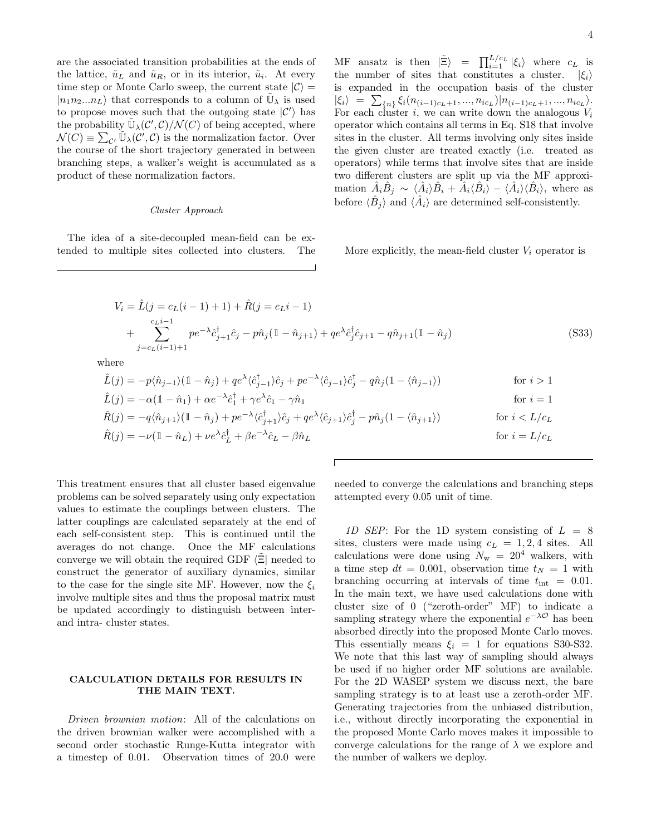are the associated transition probabilities at the ends of the lattice,  $\tilde{u}_L$  and  $\tilde{u}_R$ , or in its interior,  $\tilde{u}_i$ . At every time step or Monte Carlo sweep, the current state  $|\mathcal{C}\rangle =$  $|n_1n_2...n_L\rangle$  that corresponds to a column of  $\tilde{\mathbb{U}}_\lambda$  is used to propose moves such that the outgoing state  $|C'\rangle$  has the probability  $\tilde{\mathbb{U}}_{\lambda}(\mathcal{C}', \mathcal{C})/\mathcal{N}(C)$  of being accepted, where  $\mathcal{N}(C) \equiv \sum_{c'} \widetilde{\mathbb{U}}_{\lambda}(C', C)$  is the normalization factor. Over the course of the short trajectory generated in between branching steps, a walker's weight is accumulated as a product of these normalization factors.

#### Cluster Approach

The idea of a site-decoupled mean-field can be extended to multiple sites collected into clusters. The

MF ansatz is then  $|\tilde{\Xi}\rangle = \prod_{i=1}^{L/c_L} |\xi_i\rangle$  where  $c_L$  is the number of sites that constitutes a cluster.  $|\xi_i\rangle$ is expanded in the occupation basis of the cluster  $|\xi_i\rangle = \sum_{n=1}^{\infty} \xi_i(n_{(i-1)c_L+1},...,n_{ic_L})|n_{(i-1)c_L+1},...,n_{ic_L}\rangle.$ For each cluster i, we can write down the analogous  $V_i$ operator which contains all terms in Eq. S18 that involve sites in the cluster. All terms involving only sites inside the given cluster are treated exactly (i.e. treated as operators) while terms that involve sites that are inside two different clusters are split up via the MF approximation  $\hat{A}_i \hat{B}_j \sim \langle \hat{A}_i \rangle \hat{B}_i + \hat{A}_i \langle \hat{B}_i \rangle - \langle \hat{A}_i \rangle \langle \hat{B}_i \rangle$ , where as before  $\langle \hat{B}_j \rangle$  and  $\langle \hat{A}_i \rangle$  are determined self-consistently.

More explicitly, the mean-field cluster  $V_i$  operator is

$$
V_i = \hat{L}(j = c_L(i-1) + 1) + \hat{R}(j = c_L i - 1)
$$
  
+ 
$$
\sum_{j=c_L(i-1)+1}^{c_L i-1} p e^{-\lambda} \hat{c}_{j+1}^{\dagger} \hat{c}_j - p \hat{n}_j (1 - \hat{n}_{j+1}) + q e^{\lambda} \hat{c}_j^{\dagger} \hat{c}_{j+1} - q \hat{n}_{j+1} (1 - \hat{n}_j)
$$
 (S33)

where

$$
\hat{L}(j) = -p\langle \hat{n}_{j-1} \rangle (\mathbb{1} - \hat{n}_j) + qe^{\lambda} \langle \hat{c}_{j-1}^{\dagger} \rangle \hat{c}_j + pe^{-\lambda} \langle \hat{c}_{j-1} \rangle \hat{c}_j^{\dagger} - q\hat{n}_j (1 - \langle \hat{n}_{j-1} \rangle)
$$
 for  $i > 1$   
\n
$$
\hat{L}(i) = -\alpha (\mathbb{1} - \hat{n}_1) + \alpha e^{-\lambda} \hat{c}_1^{\dagger} + \gamma e^{\lambda} \hat{c}_1 - \gamma \hat{n}_1
$$
 for  $i = 1$ 

$$
\hat{L}(j) = -\alpha(\mathbb{1} - \hat{n}_1) + \alpha e^{-\lambda} \hat{c}_1^{\dagger} + \gamma e^{\lambda} \hat{c}_1 - \gamma \hat{n}_1
$$
 for  $i = 1$   
\n
$$
\hat{R}(j) = -q \langle \hat{n}_{j+1} \rangle (\mathbb{1} - \hat{n}_j) + p e^{-\lambda} \langle \hat{c}_{j+1}^{\dagger} \rangle \hat{c}_j + q e^{\lambda} \langle \hat{c}_{j+1} \rangle \hat{c}_j^{\dagger} - p \hat{n}_j (\mathbb{1} - \langle \hat{n}_{j+1} \rangle)
$$
 for  $i < L/c_L$   
\n
$$
\hat{R}(j) = -\nu (\mathbb{1} - \hat{n}_L) + \nu e^{\lambda} \hat{c}_L^{\dagger} + \beta e^{-\lambda} \hat{c}_L - \beta \hat{n}_L
$$
 for  $i = L/c_L$ 

This treatment ensures that all cluster based eigenvalue problems can be solved separately using only expectation values to estimate the couplings between clusters. The latter couplings are calculated separately at the end of each self-consistent step. This is continued until the averages do not change. Once the MF calculations converge we will obtain the required GDF  $\langle \Xi |$  needed to construct the generator of auxiliary dynamics, similar to the case for the single site MF. However, now the  $\xi_i$ involve multiple sites and thus the proposal matrix must be updated accordingly to distinguish between interand intra- cluster states.

### CALCULATION DETAILS FOR RESULTS IN THE MAIN TEXT.

Driven brownian motion: All of the calculations on the driven brownian walker were accomplished with a second order stochastic Runge-Kutta integrator with a timestep of 0.01. Observation times of 20.0 were

needed to converge the calculations and branching steps attempted every 0.05 unit of time.

1D SEP: For the 1D system consisting of  $L = 8$ sites, clusters were made using  $c_L = 1, 2, 4$  sites. All calculations were done using  $N_{\rm w}$  = 20<sup>4</sup> walkers, with a time step  $dt = 0.001$ , observation time  $t_N = 1$  with branching occurring at intervals of time  $t_{\text{int}} = 0.01$ . In the main text, we have used calculations done with cluster size of 0 ("zeroth-order" MF) to indicate a sampling strategy where the exponential  $e^{-\lambda \mathcal{O}}$  has been absorbed directly into the proposed Monte Carlo moves. This essentially means  $\xi_i = 1$  for equations S30-S32. We note that this last way of sampling should always be used if no higher order MF solutions are available. For the 2D WASEP system we discuss next, the bare sampling strategy is to at least use a zeroth-order MF. Generating trajectories from the unbiased distribution, i.e., without directly incorporating the exponential in the proposed Monte Carlo moves makes it impossible to converge calculations for the range of  $\lambda$  we explore and the number of walkers we deploy.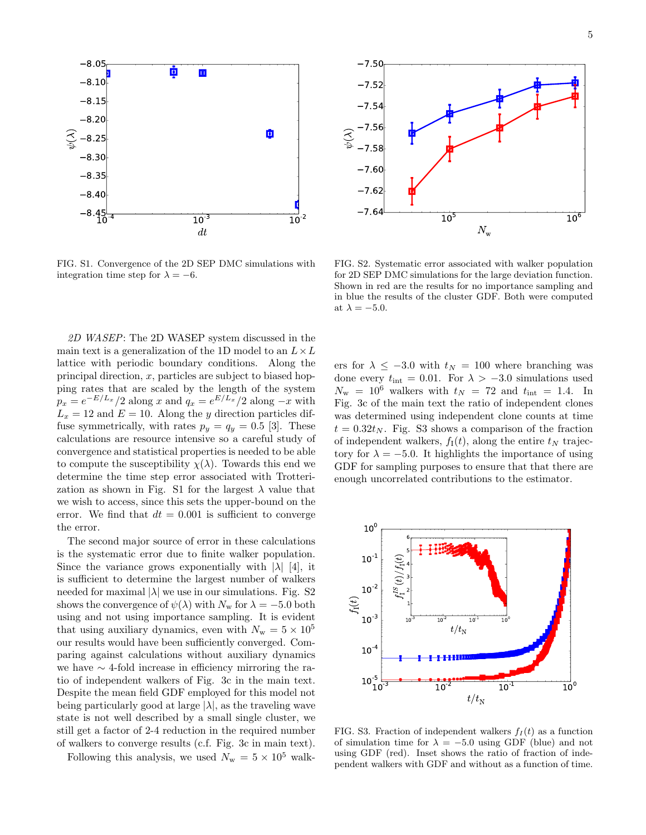

FIG. S1. Convergence of the 2D SEP DMC simulations with integration time step for  $\lambda = -6$ .

2D WASEP: The 2D WASEP system discussed in the main text is a generalization of the 1D model to an  $L \times L$ lattice with periodic boundary conditions. Along the principal direction,  $x$ , particles are subject to biased hopping rates that are scaled by the length of the system  $p_x = e^{-E/L_x}/2$  along x and  $q_x = e^{E/L_x}/2$  along  $-x$  with  $L_x = 12$  and  $E = 10$ . Along the y direction particles diffuse symmetrically, with rates  $p_y = q_y = 0.5$  [3]. These calculations are resource intensive so a careful study of convergence and statistical properties is needed to be able to compute the susceptibility  $\chi(\lambda)$ . Towards this end we determine the time step error associated with Trotterization as shown in Fig. S1 for the largest  $\lambda$  value that we wish to access, since this sets the upper-bound on the error. We find that  $dt = 0.001$  is sufficient to converge the error.

The second major source of error in these calculations is the systematic error due to finite walker population. Since the variance grows exponentially with  $|\lambda|$  [4], it is sufficient to determine the largest number of walkers needed for maximal  $|\lambda|$  we use in our simulations. Fig. S2 shows the convergence of  $\psi(\lambda)$  with  $N_{\rm w}$  for  $\lambda = -5.0$  both using and not using importance sampling. It is evident that using auxiliary dynamics, even with  $N_{\rm w} = 5 \times 10^5$ our results would have been sufficiently converged. Comparing against calculations without auxiliary dynamics we have ∼ 4-fold increase in efficiency mirroring the ratio of independent walkers of Fig. 3c in the main text. Despite the mean field GDF employed for this model not being particularly good at large  $|\lambda|$ , as the traveling wave state is not well described by a small single cluster, we still get a factor of 2-4 reduction in the required number of walkers to converge results (c.f. Fig. 3c in main text).

Following this analysis, we used  $N_{\rm w} = 5 \times 10^5$  walk-



FIG. S2. Systematic error associated with walker population for 2D SEP DMC simulations for the large deviation function. Shown in red are the results for no importance sampling and in blue the results of the cluster GDF. Both were computed at  $\lambda = -5.0$ .

ers for  $\lambda \leq -3.0$  with  $t_N = 100$  where branching was done every  $t_{\text{int}} = 0.01$ . For  $\lambda > -3.0$  simulations used  $N_{\rm w}$  = 10<sup>6</sup> walkers with  $t_N$  = 72 and  $t_{\rm int}$  = 1.4. In Fig. 3c of the main text the ratio of independent clones was determined using independent clone counts at time  $t = 0.32t_N$ . Fig. S3 shows a comparison of the fraction of independent walkers,  $f_I(t)$ , along the entire  $t_N$  trajectory for  $\lambda = -5.0$ . It highlights the importance of using GDF for sampling purposes to ensure that that there are enough uncorrelated contributions to the estimator.



FIG. S3. Fraction of independent walkers  $f_I(t)$  as a function of simulation time for  $\lambda = -5.0$  using GDF (blue) and not using GDF (red). Inset shows the ratio of fraction of independent walkers with GDF and without as a function of time.